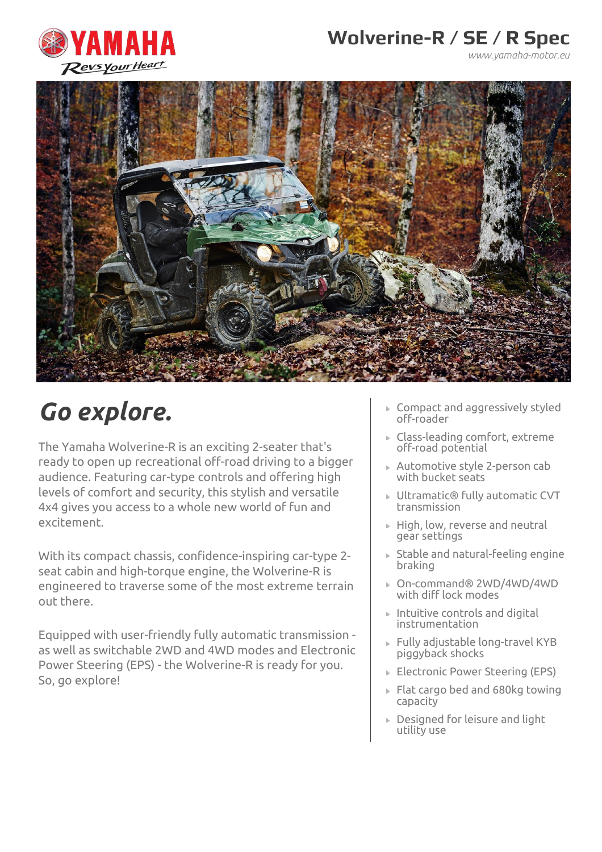

*www.yamaha-motor.eu*



# *Go explore.*

The Yamaha Wolverine-R is an exciting 2-seater that's ready to open up recreational off-road driving to a bigger audience. Featuring car-type controls and offering high levels of comfort and security, this stylish and versatile 4x4 gives you access to a whole new world of fun and excitement.

With its compact chassis, confidence-inspiring car-type 2 seat cabin and high-torque engine, the Wolverine-R is engineered to traverse some of the most extreme terrain out there.

Equipped with user-friendly fully automatic transmission as well as switchable 2WD and 4WD modes and Electronic Power Steering (EPS) - the Wolverine-R is ready for you. So, go explore!

- Compact and aggressively styled off-roader
- Class-leading comfort, extreme off-road potential
- Automotive style 2-person cab with bucket seats
- Ultramatic® fully automatic CVT transmission
- ▶ High, low, reverse and neutral gear settings
- Stable and natural-feeling engine braking
- On-command® 2WD/4WD/4WD with diff lock modes
- Intuitive controls and digital instrumentation
- Fully adjustable long-travel KYB piggyback shocks
- ▶ Electronic Power Steering (EPS)
- Flat cargo bed and 680kg towing capacity
- Designed for leisure and light utility use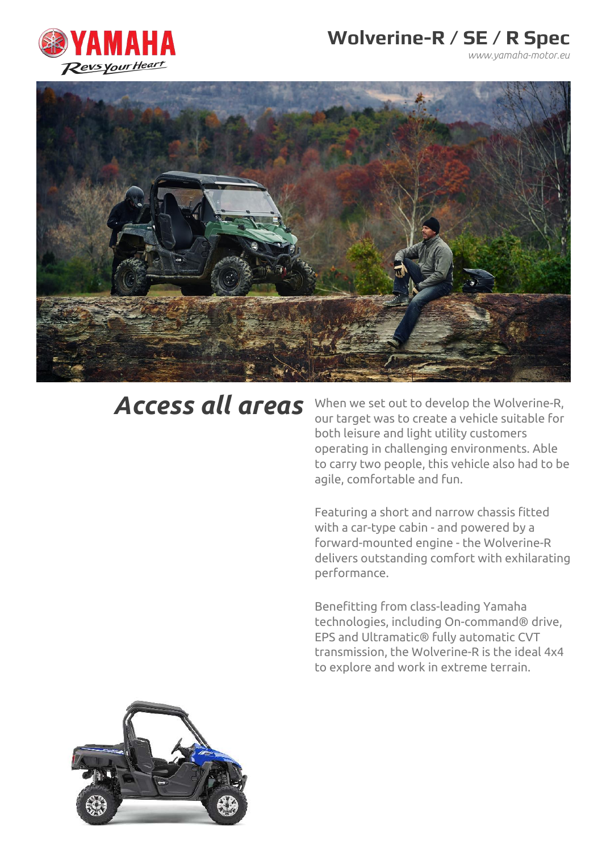

*www.yamaha-motor.eu*



*Access all areas* When we set out to develop the Wolverine-R, our target was to create a vehicle suitable for both leisure and light utility customers operating in challenging environments. Able to carry two people, this vehicle also had to be agile, comfortable and fun.

> Featuring a short and narrow chassis fitted with a car-type cabin - and powered by a forward-mounted engine - the Wolverine-R delivers outstanding comfort with exhilarating performance.

Benefitting from class-leading Yamaha technologies, including On-command® drive, EPS and Ultramatic® fully automatic CVT transmission, the Wolverine-R is the ideal 4x4 to explore and work in extreme terrain.

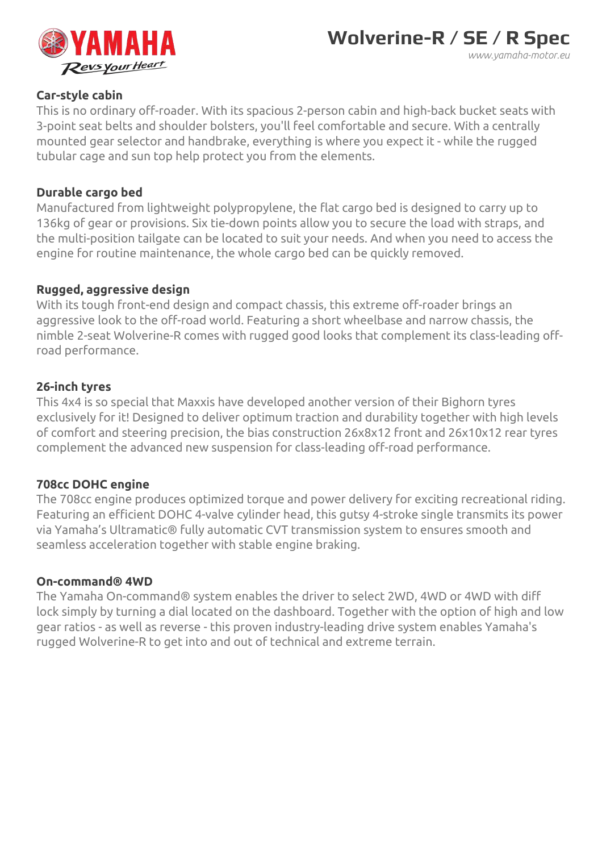

### **Car-style cabin**

This is no ordinary off-roader. With its spacious 2-person cabin and high-back bucket seats with 3-point seat belts and shoulder bolsters, you'll feel comfortable and secure. With a centrally mounted gear selector and handbrake, everything is where you expect it - while the rugged tubular cage and sun top help protect you from the elements.

#### **Durable cargo bed**

Manufactured from lightweight polypropylene, the flat cargo bed is designed to carry up to 136kg of gear or provisions. Six tie-down points allow you to secure the load with straps, and the multi-position tailgate can be located to suit your needs. And when you need to access the engine for routine maintenance, the whole cargo bed can be quickly removed.

### **Rugged, aggressive design**

With its tough front-end design and compact chassis, this extreme off-roader brings an aggressive look to the off-road world. Featuring a short wheelbase and narrow chassis, the nimble 2-seat Wolverine-R comes with rugged good looks that complement its class-leading offroad performance.

### **26-inch tyres**

This 4x4 is so special that Maxxis have developed another version of their Bighorn tyres exclusively for it! Designed to deliver optimum traction and durability together with high levels of comfort and steering precision, the bias construction 26x8x12 front and 26x10x12 rear tyres complement the advanced new suspension for class-leading off-road performance.

#### **708cc DOHC engine**

The 708cc engine produces optimized torque and power delivery for exciting recreational riding. Featuring an efficient DOHC 4-valve cylinder head, this gutsy 4-stroke single transmits its power via Yamaha's Ultramatic® fully automatic CVT transmission system to ensures smooth and seamless acceleration together with stable engine braking.

#### **On-command® 4WD**

The Yamaha On-command® system enables the driver to select 2WD, 4WD or 4WD with diff lock simply by turning a dial located on the dashboard. Together with the option of high and low gear ratios - as well as reverse - this proven industry-leading drive system enables Yamaha's rugged Wolverine-R to get into and out of technical and extreme terrain.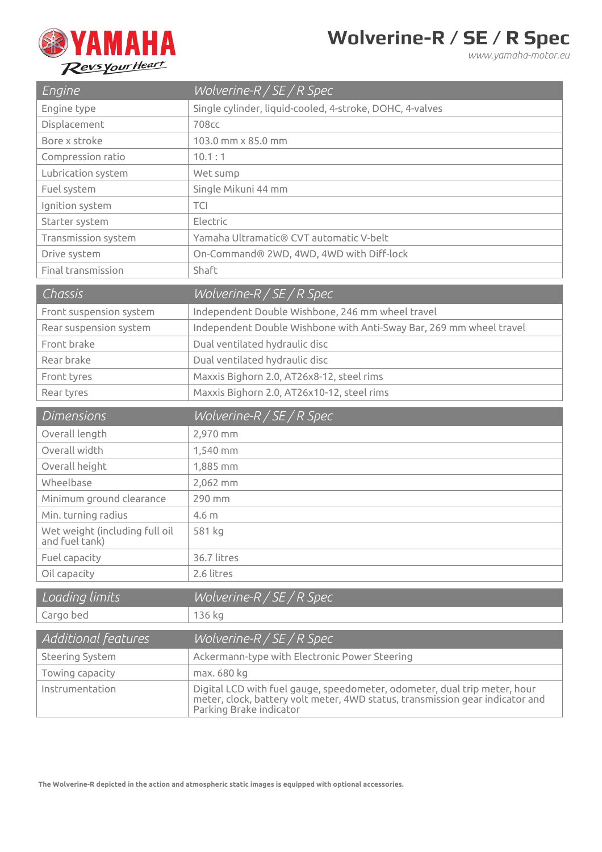

*www.yamaha-motor.eu*

| Engine                                           | Wolverine- $R / SE / R$ Spec                                        |
|--------------------------------------------------|---------------------------------------------------------------------|
| Engine type                                      | Single cylinder, liquid-cooled, 4-stroke, DOHC, 4-valves            |
| Displacement                                     | <b>708cc</b>                                                        |
| Bore x stroke                                    | 103.0 mm x 85.0 mm                                                  |
| Compression ratio                                | 10.1:1                                                              |
| Lubrication system                               | Wet sump                                                            |
| Fuel system                                      | Single Mikuni 44 mm                                                 |
| Ignition system                                  | <b>TCI</b>                                                          |
| Starter system                                   | Electric                                                            |
| Transmission system                              | Yamaha Ultramatic® CVT automatic V-belt                             |
| Drive system                                     | On-Command® 2WD, 4WD, 4WD with Diff-lock                            |
| Final transmission                               | Shaft                                                               |
| Chassis                                          | $Wolverine-R/SE/R Spec$                                             |
| Front suspension system                          | Independent Double Wishbone, 246 mm wheel travel                    |
| Rear suspension system                           | Independent Double Wishbone with Anti-Sway Bar, 269 mm wheel travel |
| Front brake                                      | Dual ventilated hydraulic disc                                      |
| Rear brake                                       | Dual ventilated hydraulic disc                                      |
| Front tyres                                      | Maxxis Bighorn 2.0, AT26x8-12, steel rims                           |
| Rear tyres                                       | Maxxis Bighorn 2.0, AT26x10-12, steel rims                          |
| <b>Dimensions</b>                                | $Wolverine-R/SE/R Spec$                                             |
|                                                  |                                                                     |
| Overall length                                   | 2,970 mm                                                            |
| Overall width                                    | 1,540 mm                                                            |
| Overall height                                   | 1,885 mm                                                            |
| Wheelbase                                        | 2,062 mm                                                            |
| Minimum ground clearance                         | 290 mm                                                              |
| Min. turning radius                              | 4.6 <sub>m</sub>                                                    |
| Wet weight (including full oil<br>and fuel tank) | 581 kg                                                              |
| Fuel capacity                                    | 36.7 litres                                                         |
| Oil capacity                                     | 2.6 litres                                                          |
| Loading limits                                   | $Wolverine-R/SE/R Spec$                                             |
| Cargo bed                                        | 136 kg                                                              |
| Additional features                              | Wolverine-R / SE / R Spec                                           |
| Steering System                                  | Ackermann-type with Electronic Power Steering                       |
| Towing capacity                                  | max. 680 kg                                                         |

**The Wolverine-R depicted in the action and atmospheric static images is equipped with optional accessories.**